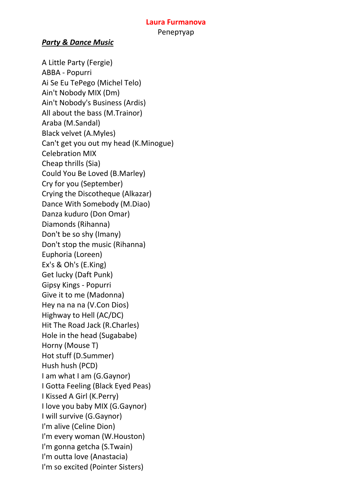#### **Laura Furmanova** Репертуар

#### *Party & Dance Music*

A Little Party (Fergie) ABBA - Popurri Ai Se Eu TePego (Michel Telo) Ain't Nobody MIX (Dm) Ain't Nobody's Business (Ardis) All about the bass (M.Trainor) Araba (M.Sandal) Black velvet (A.Myles) Can't get you out my head (K.Minogue) Celebration MIX Cheap thrills (Sia) Could You Be Loved (B.Marley) Cry for you (September) Crying the Discotheque (Alkazar) Dance With Somebody (M.Diao) Danza kuduro (Don Omar) Diamonds (Rihanna) Don't be so shy (Imany) Don't stop the music (Rihanna) Euphoria (Loreen) Ex's & Oh's (E.King) Get lucky (Daft Punk) Gipsy Kings - Popurri Give it to me (Madonna) Hey na na na (V.Con Dios) Highway to Hell (AC/DC) Hit The Road Jack (R.Charles) Hole in the head (Sugababe) Horny (Mouse T) Hot stuff (D.Summer) Hush hush (PCD) I am what I am (G.Gaynor) I Gotta Feeling (Black Eyed Peas) I Kissed A Girl (K.Perry) I love you baby MIX (G.Gaynor) I will survive (G.Gaynor) I'm alive (Celine Dion) I'm every woman (W.Houston) I'm gonna getcha (S.Twain) I'm outta love (Anastacia) I'm so excited (Pointer Sisters)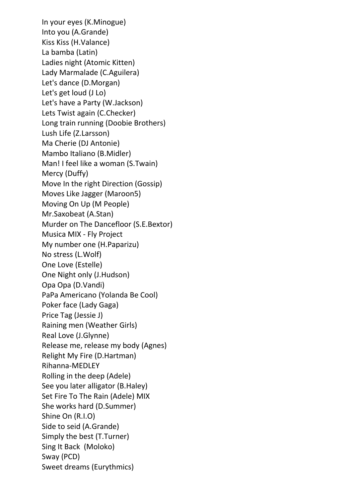In your eyes (K.Minogue) Into you (A.Grande) Kiss Kiss (H.Valance) La bamba (Latin) Ladies night (Atomic Kitten) Lady Marmalade (C.Aguilera) Let's dance (D.Morgan) Let's get loud (J Lo) Let's have a Party (W.Jackson) Lets Twist again (C.Checker) Long train running (Doobie Brothers) Lush Life (Z.Larsson) Ma Cherie (DJ Antonie) Mambo Italiano (B.Midler) Man! I feel like a woman (S.Twain) Mercy (Duffy) Move In the right Direction (Gossip) Moves Like Jagger (Maroon5) Moving On Up (M People) Mr.Saxobeat (A.Stan) Murder on The Dancefloor (S.E.Bextor) Musica MIX - Fly Project My number one (H.Paparizu) No stress (L.Wolf) One Love (Estelle) One Night only (J.Hudson) Opa Opa (D.Vandi) PaPa Americano (Yolanda Be Cool) Poker face (Lady Gaga) Price Tag (Jessie J) Raining men (Weather Girls) Real Love (J.Glynne) Release me, release my body (Agnes) Relight My Fire (D.Hartman) Rihanna-MEDLEY Rolling in the deep (Adele) See you later alligator (B.Haley) Set Fire To The Rain (Adele) MIX She works hard (D.Summer) Shine On (R.I.O) Side to seid (A.Grande) Simply the best (T.Turner) Sing It Back (Moloko) Sway (PCD) Sweet dreams (Eurythmics)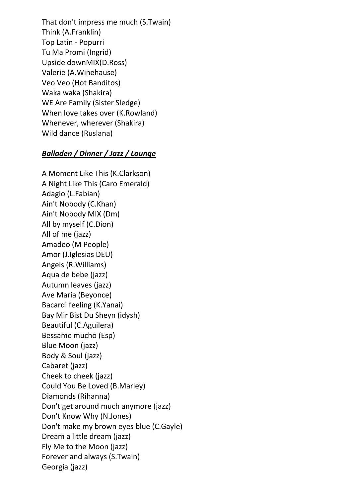That don't impress me much (S.Twain) Think (A.Franklin) Top Latin - Popurri Tu Ma Promi (Ingrid) Upside downMIX(D.Ross) Valerie (A.Winehause) Veo Veo (Hot Banditos) Waka waka (Shakira) WE Are Family (Sister Sledge) When love takes over (K.Rowland) Whenever, wherever (Shakira) Wild dance (Ruslana)

### *Balladen / Dinner / Jazz / Lounge*

A Moment Like This (K.Clarkson) A Night Like This (Caro Emerald) Adagio (L.Fabian) Ain't Nobody (C.Khan) Ain't Nobody MIX (Dm) All by myself (C.Dion) All of me (jazz) Amadeo (M People) Amor (J.Iglesias DEU) Angels (R.Williams) Aqua de bebe (jazz) Autumn leaves (jazz) Ave Maria (Beyonce) Bacardi feeling (K.Yanai) Bay Mir Bist Du Sheyn (idysh) Beautiful (C.Aguilera) Bessame mucho (Esp) Blue Moon (jazz) Body & Soul (jazz) Cabaret (jazz) Cheek to cheek (jazz) Could You Be Loved (B.Marley) Diamonds (Rihanna) Don't get around much anymore (jazz) Don't Know Why (N.Jones) Don't make my brown eyes blue (C.Gayle) Dream a little dream (jazz) Fly Me to the Moon (jazz) Forever and always (S.Twain) Georgia (jazz)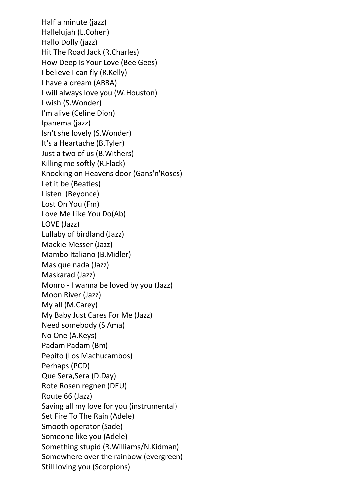Half a minute (jazz) Hallelujah (L.Cohen) Hallo Dolly (jazz) Hit The Road Jack (R.Charles) How Deep Is Your Love (Bee Gees) I believe I can fly (R.Kelly) I have a dream (ABBA) I will always love you (W.Houston) I wish (S.Wonder) I'm alive (Celine Dion) Ipanema (jazz) Isn't she lovely (S.Wonder) It's a Heartache (B.Tyler) Just a two of us (B.Withers) Killing me softly (R.Flack) Knocking on Heavens door (Gans'n'Roses) Let it be (Beatles) Listen (Beyonce) Lost On You (Fm) Love Me Like You Do(Ab) LOVE (Jazz) Lullaby of birdland (Jazz) Mackie Messer (Jazz) Mambo Italiano (B.Midler) Mas que nada (Jazz) Maskarad (Jazz) Monro - I wanna be loved by you (Jazz) Moon River (Jazz) My all (M.Carey) My Baby Just Cares For Me (Jazz) Need somebody (S.Ama) No One (A.Keys) Padam Padam (Bm) Pepito (Los Machucambos) Perhaps (PCD) Que Sera,Sera (D.Day) Rote Rosen regnen (DEU) Route 66 (Jazz) Saving all my love for you (instrumental) Set Fire To The Rain (Adele) Smooth operator (Sade) Someone like you (Adele) Something stupid (R.Williams/N.Kidman) Somewhere over the rainbow (evergreen) Still loving you (Scorpions)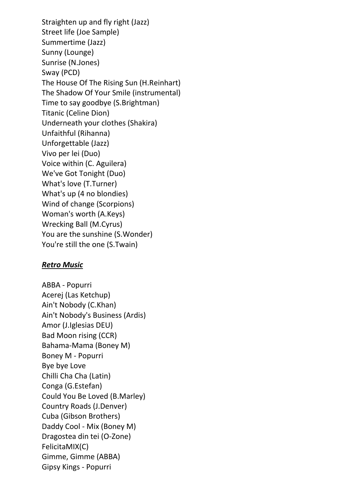Straighten up and fly right (Jazz) Street life (Joe Sample) Summertime (Jazz) Sunny (Lounge) Sunrise (N.Jones) Sway (PCD) The House Of The Rising Sun (H.Reinhart) The Shadow Of Your Smile (instrumental) Time to say goodbye (S.Brightman) Titanic (Celine Dion) Underneath your clothes (Shakira) Unfaithful (Rihanna) Unforgettable (Jazz) Vivo per lei (Duo) Voice within (C. Aguilera) We've Got Tonight (Duo) What's love (T.Turner) What's up (4 no blondies) Wind of change (Scorpions) Woman's worth (A.Keys) Wrecking Ball (M.Cyrus) You are the sunshine (S.Wonder) You're still the one (S.Twain)

#### *Retro Music*

ABBA - Popurri Acerej (Las Ketchup) Ain't Nobody (C.Khan) Ain't Nobody's Business (Ardis) Amor (J.Iglesias DEU) Bad Moon rising (CCR) Bahama-Mama (Boney M) Boney M - Popurri Bye bye Love Chilli Cha Cha (Latin) Conga (G.Estefan) Could You Be Loved (B.Marley) Country Roads (J.Denver) Cuba (Gibson Brothers) Daddy Cool - Mix (Boney M) Dragostea din tei (O-Zone) FelicitaMIX(C) Gimme, Gimme (ABBA) Gipsy Kings - Popurri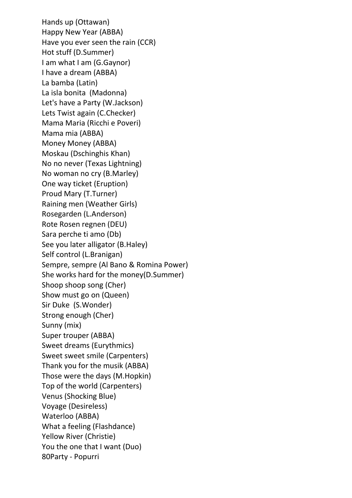Hands up (Ottawan) Happy New Year (ABBA) Have you ever seen the rain (CCR) Hot stuff (D.Summer) I am what I am (G.Gaynor) I have a dream (ABBA) La bamba (Latin) La isla bonita (Madonna) Let's have a Party (W.Jackson) Lets Twist again (C.Checker) Mama Maria (Ricchi e Poveri) Mama mia (ABBA) Money Money (ABBA) Moskau (Dschinghis Khan) No no never (Texas Lightning) No woman no cry (B.Marley) One way ticket (Eruption) Proud Mary (T.Turner) Raining men (Weather Girls) Rosegarden (L.Anderson) Rote Rosen regnen (DEU) Sara perche ti amo (Db) See you later alligator (B.Haley) Self control (L.Branigan) Sempre, sempre (Al Bano & Romina Power) She works hard for the money(D.Summer) Shoop shoop song (Cher) Show must go on (Queen) Sir Duke (S.Wonder) Strong enough (Cher) Sunny (mix) Super trouper (ABBA) Sweet dreams (Eurythmics) Sweet sweet smile (Carpenters) Thank you for the musik (ABBA) Those were the days (M.Hopkin) Top of the world (Carpenters) Venus (Shocking Blue) Voyage (Desireless) Waterloo (ABBA) What a feeling (Flashdance) Yellow River (Christie) You the one that I want (Duo) 80Party - Popurri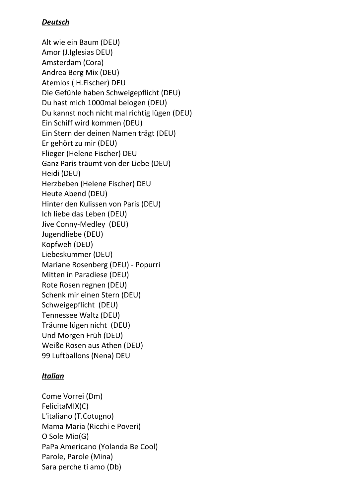### *Deutsch*

Alt wie ein Baum (DEU) Amor (J.Iglesias DEU) Amsterdam (Cora) Andrea Berg Mix (DEU) Atemlos ( H.Fischer) DEU Die Gefühle haben Schweigepflicht (DEU) Du hast mich 1000mal belogen (DEU) Du kannst noch nicht mal richtig lügen (DEU) Ein Schiff wird kommen (DEU) Ein Stern der deinen Namen trägt (DEU) Er gehört zu mir (DEU) Flieger (Helene Fischer) DEU Ganz Paris träumt von der Liebe (DEU) Heidi (DEU) Herzbeben (Helene Fischer) DEU Heute Abend (DEU) Hinter den Kulissen von Paris (DEU) Ich liebe das Leben (DEU) Jive Conny-Medley (DEU) Jugendliebe (DEU) Kopfweh (DEU) Liebeskummer (DEU) Mariane Rosenberg (DEU) - Popurri Mitten in Paradiese (DEU) Rote Rosen regnen (DEU) Schenk mir einen Stern (DEU) Schweigepflicht (DEU) Tennessee Waltz (DEU) Träume lügen nicht (DEU) Und Morgen Früh (DEU) Weiße Rosen aus Athen (DEU) 99 Luftballons (Nena) DEU

# *Italian*

Come Vorrei (Dm) FelicitaMIX(C) L'italiano (T.Cotugno) Mama Maria (Ricchi e Poveri) O Sole Mio(G) PaPa Americano (Yolanda Be Cool) Parole, Parole (Mina) Sara perche ti amo (Db)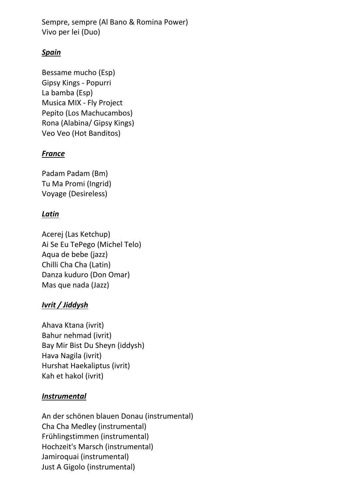Sempre, sempre (Al Bano & Romina Power) Vivo per lei (Duo)

# *Spain*

Bessame mucho (Esp) Gipsy Kings - Popurri La bamba (Esp) Musica MIX - Fly Project Pepito (Los Machucambos) Rona (Alabina/ Gipsy Kings) Veo Veo (Hot Banditos)

### *France*

Padam Padam (Bm) Tu Ma Promi (Ingrid) Voyage (Desireless)

### *Latin*

Acerej (Las Ketchup) Ai Se Eu TePego (Michel Telo) Aqua de bebe (jazz) Chilli Cha Cha (Latin) Danza kuduro (Don Omar) Mas que nada (Jazz)

# *Ivrit / Jiddysh*

Ahava Ktana (ivrit) Bahur nehmad (ivrit) Bay Mir Bist Du Sheyn (iddysh) Hava Nagila (ivrit) Hurshat Haekaliptus (ivrit) Kah et hakol (ivrit)

### *Instrumental*

An der schönen blauen Donau (instrumental) Cha Cha Medley (instrumental) Frühlingstimmen (instrumental) Hochzeit's Marsch (instrumental) Jamiroquai (instrumental) Just A Gigolo (instrumental)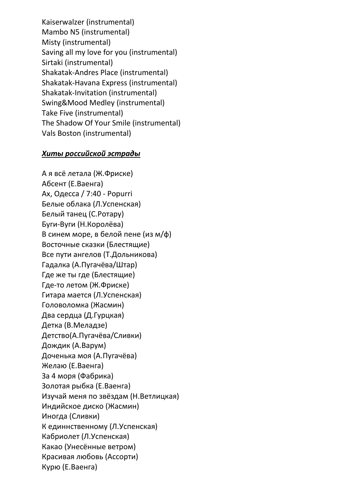Kaiserwalzer (instrumental) Mambo N5 (instrumental) Misty (instrumental) Saving all my love for you (instrumental) Sirtaki (instrumental) Shakatak-Andres Place (instrumental) Shakatak-Havana Express (instrumental) Shakatak-Invitation (instrumental) Swing&Mood Medley (instrumental) Take Five (instrumental) The Shadow Of Your Smile (instrumental) Vals Boston (instrumental)

#### *Хиты российской эстрады*

А я всё летала (Ж.Фриске) Абсент (Е.Ваенга) Ах, Одесса / 7:40 - Popurri Белые облака (Л.Успенская) Белый танец (С.Ротару) Буги-Вуги (Н.Королёва) В синем море, в белой пене (из м/ф) Восточные сказки (Блестящие) Все пути ангелов (Т.Дольникова) Гадалка (А.Пугачёва/Штар) Где же ты где (Блестящие) Где-то летом (Ж.Фриске) Гитара мается (Л.Успенская) Головоломка (Жасмин) Два сердца (Д.Гурцкая) Детка (В.Меладзе) Детство(А.Пугачёва/Сливки) Дождик (А.Варум) Доченька моя (А.Пугачёва) Желаю (Е.Ваенга) За 4 моря (Фабрика) Золотая рыбка (Е.Ваенга) Изучай меня по звёздам (Н.Ветлицкая) Индийское диско (Жасмин) Иногда (Сливки) К единнственному (Л.Успенская) Кабриолет (Л.Успенская) Какао (Унесённые ветром) Красивая любовь (Ассорти) Курю (Е.Ваенга)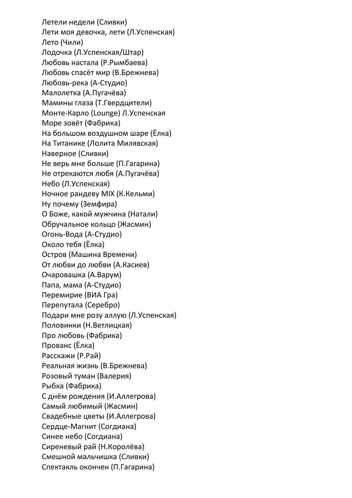Летели недели (Сливки) Лети моя девочка, лети (Л.Успенская) Лето (Чили) Лодочка (Л.Успенская/Штар) Любовь настала (Р.Рымбаева) Любовь спасёт мир (В.Брежнева) Любовь-река (А-Студио) Малолетка (А.Пугачёва) Мамины глаза (Т.Гвердцители) Монте-Карло (Lounge) Л.Успенская Море зовёт (Фабрика) На большом воздушном шаре (Ёлка) На Титанике (Лолита Милявская) Наверное (Сливки) Не верь мне больше (П.Гагарина) Не отрекаются любя (А.Пугачёва) Небо (Л.Успенская) Ночное рандеву MIX (К.Кельми) Ну почему (Земфира) О Боже, какой мужчина (Натали) Обручальное кольцо (Жасмин) Огонь-Вода (А-Студио) Около тебя (Ёлка) Остров (Машина Времени) От любви до любви (А.Касиев) Очаровашка (А.Варум) Папа, мама (А-Студио) Перемирие (ВИА Гра) Перепутала (Серебро) Подари мне розу аллую (Л.Успенская) Половинки (Н.Ветлицкая) Про любовь (Фабрика) Прованс (Ёлка) Расскажи (Р.Рай) Реальная жизнь (В.Брежнева) Розовый туман (Валерия) Рыбка (Фабрика) С днём рождения (И.Аллегрова) Самый любимый (Жасмин) Свадебные цветы (И.Аллегрова) Сердце-Магнит (Согдиана) Синее небо (Согдиана) Сиреневый рай (Н.Королёва) Смешной мальчишка (Сливки) Спектакль окончен (П.Гагарина)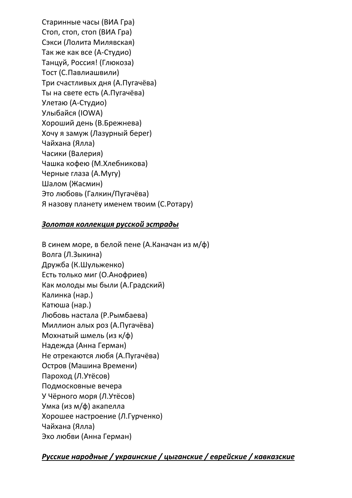Старинные часы (ВИА Гра) Стоп, стоп, стоп (ВИА Гра) Сэкси (Лолита Милявская) Так же как все (А-Студио) Танцуй, Россия! (Глюкоза) Тост (С.Павлиашвили) Три счастливых дня (А.Пугачёва) Ты на свете есть (А.Пугачёва) Улетаю (А-Студио) Улыбайся (IOWA) Хороший день (В.Брежнева) Хочу я замуж (Лазурный берег) Чайхана (Ялла) Часики (Валерия) Чашка кофею (М.Хлебникова) Черные глаза (А.Мугу) Шалом (Жасмин) Это любовь (Галкин/Пугачёва) Я назову планету именем твоим (С.Ротару)

#### *Золотая коллекция русской эстрады*

В синем море, в белой пене (А.Каначан из м/ф) Волга (Л.Зыкина) Дружба (К.Шульженко) Есть только миг (О.Анофриев) Как молоды мы были (А.Градский) Калинка (нар.) Катюша (нар.) Любовь настала (Р.Рымбаева) Миллион алых роз (А.Пугачёва) Мохнатый шмель (из к/ф) Надежда (Анна Герман) Не отрекаются любя (А.Пугачёва) Остров (Машина Времени) Пароход (Л.Утёсов) Подмосковные вечера У Чёрного моря (Л.Утёсов) Умка (из м/ф) акапелла Хорошее настроение (Л.Гурченко) Чайхана (Ялла) Эхо любви (Анна Герман)

# *Русские народные / украинские / цыганские / еврейские / кавказские*